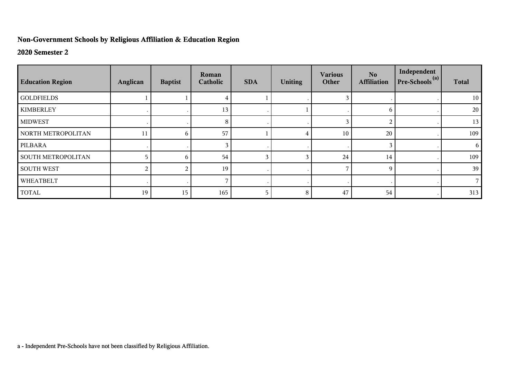## **Non-Government Schools by Religious Affiliation & Education Region**

## **2020 Semester 2**

| <b>Education Region</b>   | Anglican | <b>Baptist</b> | Roman<br>Catholic | <b>SDA</b> | <b>Uniting</b> | <b>Various</b><br>Other | No.<br><b>Affiliation</b> | Independent<br>$Pre-Schools(a)$ | <b>Total</b> |
|---------------------------|----------|----------------|-------------------|------------|----------------|-------------------------|---------------------------|---------------------------------|--------------|
| <b>GOLDFIELDS</b>         |          |                |                   |            |                |                         |                           |                                 | 10           |
| <b>KIMBERLEY</b>          |          |                | 13                |            |                |                         | 6                         |                                 | 20           |
| <b>MIDWEST</b>            |          |                | 8                 |            |                | 3                       | 2                         |                                 | 13           |
| NORTH METROPOLITAN        | 11       | 6              | 57                |            |                | 10                      | 20                        |                                 | 109          |
| PILBARA                   |          |                |                   |            |                |                         | 3                         |                                 | 6            |
| <b>SOUTH METROPOLITAN</b> |          | 6              | 54                | 3          |                | 24                      | 14                        |                                 | 109          |
| <b>SOUTH WEST</b>         | 2        | 2              | 19                |            |                |                         | 9                         |                                 | 39           |
| WHEATBELT                 |          |                |                   | $\cdot$    |                |                         |                           |                                 |              |
| <b>TOTAL</b>              | 19       | 15             | 165               | 5          | 8              | 47                      | 54                        |                                 | 313          |